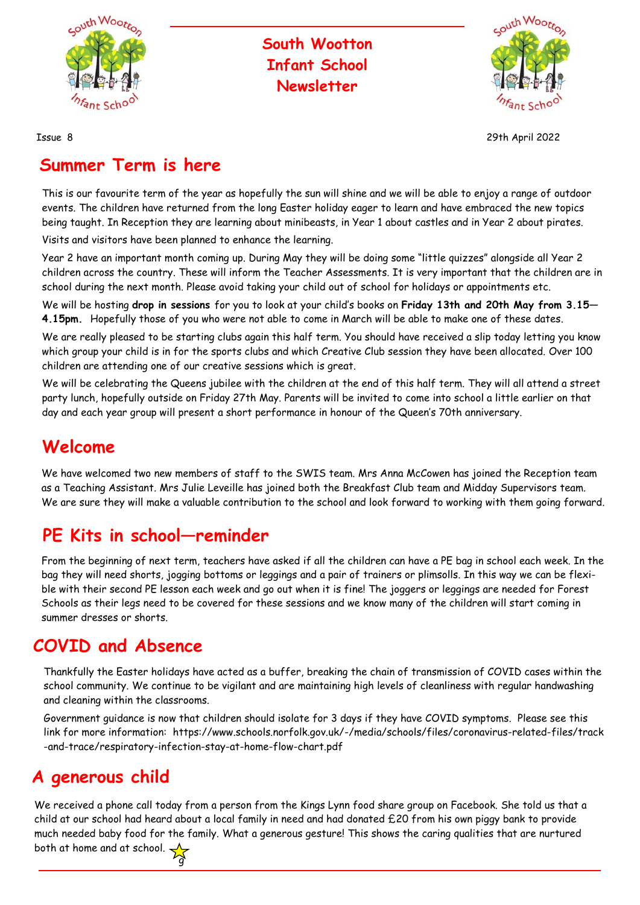

#### **South Wootton Infant School Newsletter**



Issue 8 29th April 2022

#### **Summer Term is here**

This is our favourite term of the year as hopefully the sun will shine and we will be able to enjoy a range of outdoor events. The children have returned from the long Easter holiday eager to learn and have embraced the new topics being taught. In Reception they are learning about minibeasts, in Year 1 about castles and in Year 2 about pirates.

Visits and visitors have been planned to enhance the learning.

Year 2 have an important month coming up. During May they will be doing some "little quizzes" alongside all Year 2 children across the country. These will inform the Teacher Assessments. It is very important that the children are in school during the next month. Please avoid taking your child out of school for holidays or appointments etc.

We will be hosting **drop in sessions** for you to look at your child's books on **Friday 13th and 20th May from 3.15— 4.15pm.** Hopefully those of you who were not able to come in March will be able to make one of these dates.

We are really pleased to be starting clubs again this half term. You should have received a slip today letting you know which group your child is in for the sports clubs and which Creative Club session they have been allocated. Over 100 children are attending one of our creative sessions which is great.

We will be celebrating the Queens jubilee with the children at the end of this half term. They will all attend a street party lunch, hopefully outside on Friday 27th May. Parents will be invited to come into school a little earlier on that day and each year group will present a short performance in honour of the Queen's 70th anniversary.

#### **Welcome**

We have welcomed two new members of staff to the SWIS team. Mrs Anna McCowen has joined the Reception team as a Teaching Assistant. Mrs Julie Leveille has joined both the Breakfast Club team and Midday Supervisors team. We are sure they will make a valuable contribution to the school and look forward to working with them going forward.

## **PE Kits in school—reminder**

g

From the beginning of next term, teachers have asked if all the children can have a PE bag in school each week. In the bag they will need shorts, jogging bottoms or leggings and a pair of trainers or plimsolls. In this way we can be flexible with their second PE lesson each week and go out when it is fine! The joggers or leggings are needed for Forest Schools as their legs need to be covered for these sessions and we know many of the children will start coming in summer dresses or shorts.

### **COVID and Absence**

Thankfully the Easter holidays have acted as a buffer, breaking the chain of transmission of COVID cases within the school community. We continue to be vigilant and are maintaining high levels of cleanliness with regular handwashing and cleaning within the classrooms.

Government guidance is now that children should isolate for 3 days if they have COVID symptoms. Please see this link for more information: https://www.schools.norfolk.gov.uk/-/media/schools/files/coronavirus-related-files/track -and-trace/respiratory-infection-stay-at-home-flow-chart.pdf

## **A generous child**

We received a phone call today from a person from the Kings Lynn food share group on Facebook. She told us that a child at our school had heard about a local family in need and had donated £20 from his own piggy bank to provide much needed baby food for the family. What a generous gesture! This shows the caring qualities that are nurtured both at home and at school.